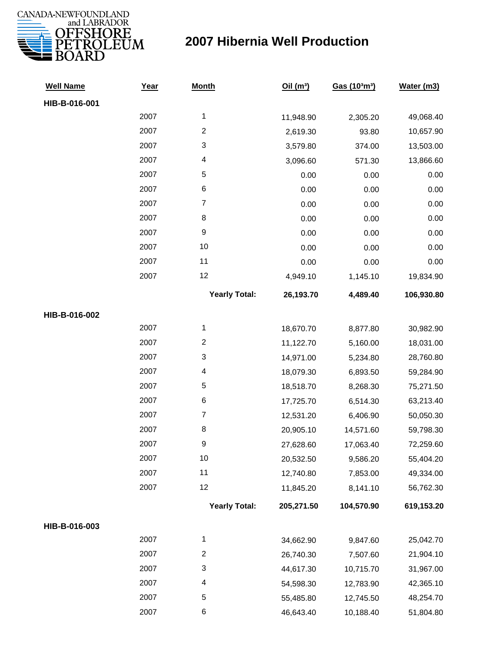

| <b>Well Name</b> | Year | <b>Month</b>            | Oil(m <sup>3</sup> ) | Gas (103m3) | Water (m3) |
|------------------|------|-------------------------|----------------------|-------------|------------|
| HIB-B-016-001    |      |                         |                      |             |            |
|                  | 2007 | $\mathbf{1}$            | 11,948.90            | 2,305.20    | 49,068.40  |
|                  | 2007 | $\overline{c}$          | 2,619.30             | 93.80       | 10,657.90  |
|                  | 2007 | 3                       | 3,579.80             | 374.00      | 13,503.00  |
|                  | 2007 | 4                       | 3,096.60             | 571.30      | 13,866.60  |
|                  | 2007 | 5                       | 0.00                 | 0.00        | 0.00       |
|                  | 2007 | 6                       | 0.00                 | 0.00        | 0.00       |
|                  | 2007 | $\overline{7}$          | 0.00                 | 0.00        | 0.00       |
|                  | 2007 | 8                       | 0.00                 | 0.00        | 0.00       |
|                  | 2007 | $\boldsymbol{9}$        | 0.00                 | 0.00        | 0.00       |
|                  | 2007 | 10                      | 0.00                 | 0.00        | 0.00       |
|                  | 2007 | 11                      | 0.00                 | 0.00        | 0.00       |
|                  | 2007 | 12                      | 4,949.10             | 1,145.10    | 19,834.90  |
|                  |      | <b>Yearly Total:</b>    | 26,193.70            | 4,489.40    | 106,930.80 |
| HIB-B-016-002    |      |                         |                      |             |            |
|                  | 2007 | 1                       | 18,670.70            | 8,877.80    | 30,982.90  |
|                  | 2007 | $\overline{\mathbf{c}}$ | 11,122.70            | 5,160.00    | 18,031.00  |
|                  | 2007 | 3                       | 14,971.00            | 5,234.80    | 28,760.80  |
|                  | 2007 | $\overline{\mathbf{4}}$ | 18,079.30            | 6,893.50    | 59,284.90  |
|                  | 2007 | 5                       | 18,518.70            | 8,268.30    | 75,271.50  |
|                  | 2007 | 6                       | 17,725.70            | 6,514.30    | 63,213.40  |
|                  | 2007 | $\boldsymbol{7}$        | 12,531.20            | 6,406.90    | 50,050.30  |
|                  | 2007 | 8                       | 20,905.10            | 14,571.60   | 59,798.30  |
|                  | 2007 | $\boldsymbol{9}$        | 27,628.60            | 17,063.40   | 72,259.60  |
|                  | 2007 | 10                      | 20,532.50            | 9,586.20    | 55,404.20  |
|                  | 2007 | 11                      | 12,740.80            | 7,853.00    | 49,334.00  |
|                  | 2007 | 12                      | 11,845.20            | 8,141.10    | 56,762.30  |
|                  |      | <b>Yearly Total:</b>    | 205,271.50           | 104,570.90  | 619,153.20 |
| HIB-B-016-003    |      |                         |                      |             |            |
|                  | 2007 | $\mathbf 1$             | 34,662.90            | 9,847.60    | 25,042.70  |
|                  | 2007 | $\overline{c}$          | 26,740.30            | 7,507.60    | 21,904.10  |
|                  | 2007 | 3                       | 44,617.30            | 10,715.70   | 31,967.00  |
|                  | 2007 | 4                       | 54,598.30            | 12,783.90   | 42,365.10  |
|                  | 2007 | 5                       | 55,485.80            | 12,745.50   | 48,254.70  |
|                  | 2007 | 6                       | 46,643.40            | 10,188.40   | 51,804.80  |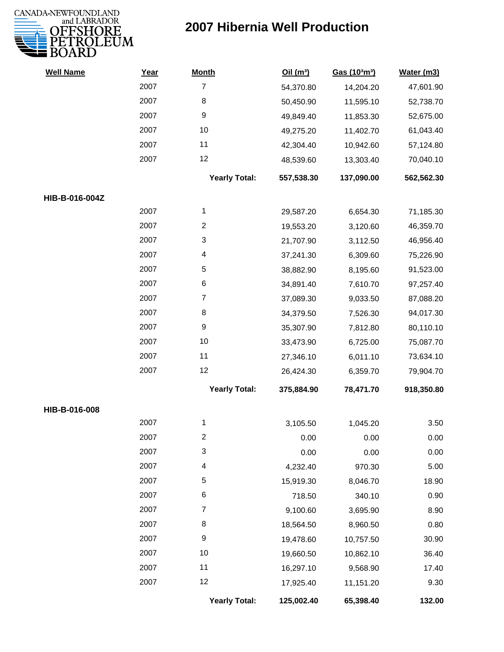

| <b>Well Name</b> | Year | <b>Month</b>            | Oil(m <sup>3</sup> ) | Gas (103m3) | Water (m3) |
|------------------|------|-------------------------|----------------------|-------------|------------|
|                  | 2007 | $\overline{7}$          | 54,370.80            | 14,204.20   | 47,601.90  |
|                  | 2007 | 8                       | 50,450.90            | 11,595.10   | 52,738.70  |
|                  | 2007 | 9                       | 49,849.40            | 11,853.30   | 52,675.00  |
|                  | 2007 | 10                      | 49,275.20            | 11,402.70   | 61,043.40  |
|                  | 2007 | 11                      | 42,304.40            | 10,942.60   | 57,124.80  |
|                  | 2007 | 12                      | 48,539.60            | 13,303.40   | 70,040.10  |
|                  |      | <b>Yearly Total:</b>    | 557,538.30           | 137,090.00  | 562,562.30 |
| HIB-B-016-004Z   |      |                         |                      |             |            |
|                  | 2007 | $\mathbf{1}$            | 29,587.20            | 6,654.30    | 71,185.30  |
|                  | 2007 | $\overline{\mathbf{c}}$ | 19,553.20            | 3,120.60    | 46,359.70  |
|                  | 2007 | $\sqrt{3}$              | 21,707.90            | 3,112.50    | 46,956.40  |
|                  | 2007 | 4                       | 37,241.30            | 6,309.60    | 75,226.90  |
|                  | 2007 | $\sqrt{5}$              | 38,882.90            | 8,195.60    | 91,523.00  |
|                  | 2007 | 6                       | 34,891.40            | 7,610.70    | 97,257.40  |
|                  | 2007 | $\overline{7}$          | 37,089.30            | 9,033.50    | 87,088.20  |
|                  | 2007 | 8                       | 34,379.50            | 7,526.30    | 94,017.30  |
|                  | 2007 | 9                       | 35,307.90            | 7,812.80    | 80,110.10  |
|                  | 2007 | 10                      | 33,473.90            | 6,725.00    | 75,087.70  |
|                  | 2007 | 11                      | 27,346.10            | 6,011.10    | 73,634.10  |
|                  | 2007 | 12                      | 26,424.30            | 6,359.70    | 79,904.70  |
|                  |      | <b>Yearly Total:</b>    | 375,884.90           | 78,471.70   | 918,350.80 |
| HIB-B-016-008    |      |                         |                      |             |            |
|                  | 2007 | 1                       | 3,105.50             | 1,045.20    | 3.50       |
|                  | 2007 | 2                       | 0.00                 | 0.00        | 0.00       |
|                  | 2007 | 3                       | 0.00                 | 0.00        | 0.00       |
|                  | 2007 | 4                       | 4,232.40             | 970.30      | 5.00       |
|                  | 2007 | 5                       | 15,919.30            | 8,046.70    | 18.90      |
|                  | 2007 | 6                       | 718.50               | 340.10      | 0.90       |
|                  | 2007 | 7                       | 9,100.60             | 3,695.90    | 8.90       |
|                  | 2007 | 8                       | 18,564.50            | 8,960.50    | 0.80       |
|                  | 2007 | $\boldsymbol{9}$        | 19,478.60            | 10,757.50   | 30.90      |
|                  | 2007 | 10                      | 19,660.50            | 10,862.10   | 36.40      |
|                  | 2007 | 11                      | 16,297.10            | 9,568.90    | 17.40      |
|                  | 2007 | 12                      | 17,925.40            | 11,151.20   | 9.30       |
|                  |      | <b>Yearly Total:</b>    | 125,002.40           | 65,398.40   | 132.00     |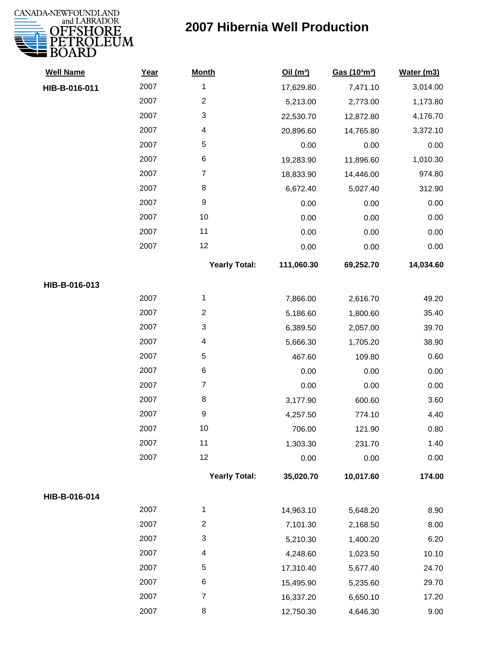

| 17,629.80<br>5,213.00<br>22,530.70<br>20,896.60<br>0.00<br>19,283.90<br>18,833.90<br>6,672.40<br>0.00<br>0.00<br>0.00 | 7,471.10<br>2,773.00<br>12,872.80<br>14,765.80<br>0.00<br>11,896.60<br>14,446.00<br>5,027.40<br>0.00<br>0.00<br>0.00 | 3,014.00<br>1,173.80<br>4,176.70<br>3,372.10<br>0.00<br>1,010.30<br>974.80<br>312.90<br>0.00<br>0.00<br>0.00 |
|-----------------------------------------------------------------------------------------------------------------------|----------------------------------------------------------------------------------------------------------------------|--------------------------------------------------------------------------------------------------------------|
|                                                                                                                       |                                                                                                                      |                                                                                                              |
|                                                                                                                       |                                                                                                                      |                                                                                                              |
|                                                                                                                       |                                                                                                                      |                                                                                                              |
|                                                                                                                       |                                                                                                                      |                                                                                                              |
|                                                                                                                       |                                                                                                                      |                                                                                                              |
|                                                                                                                       |                                                                                                                      |                                                                                                              |
|                                                                                                                       |                                                                                                                      |                                                                                                              |
|                                                                                                                       |                                                                                                                      |                                                                                                              |
|                                                                                                                       |                                                                                                                      |                                                                                                              |
|                                                                                                                       |                                                                                                                      |                                                                                                              |
|                                                                                                                       |                                                                                                                      |                                                                                                              |
| 0.00                                                                                                                  | 0.00                                                                                                                 | 0.00                                                                                                         |
| 111,060.30                                                                                                            | 69,252.70                                                                                                            | 14,034.60                                                                                                    |
|                                                                                                                       |                                                                                                                      |                                                                                                              |
| 7,866.00                                                                                                              | 2,616.70                                                                                                             | 49.20                                                                                                        |
| 5,186.60                                                                                                              | 1,800.60                                                                                                             | 35.40                                                                                                        |
| 6,389.50                                                                                                              | 2,057.00                                                                                                             | 39.70                                                                                                        |
| 5,666.30                                                                                                              | 1,705.20                                                                                                             | 38.90                                                                                                        |
| 467.60                                                                                                                | 109.80                                                                                                               | 0.60                                                                                                         |
| 0.00                                                                                                                  | 0.00                                                                                                                 | 0.00                                                                                                         |
| 0.00                                                                                                                  | 0.00                                                                                                                 | 0.00                                                                                                         |
| 3,177.90                                                                                                              | 600.60                                                                                                               | 3.60                                                                                                         |
| 4,257.50                                                                                                              | 774.10                                                                                                               | 4.40                                                                                                         |
| 706.00                                                                                                                | 121.90                                                                                                               | 0.80                                                                                                         |
| 1,303.30                                                                                                              | 231.70                                                                                                               | 1.40                                                                                                         |
| 0.00                                                                                                                  | 0.00                                                                                                                 | 0.00                                                                                                         |
| 35,020.70                                                                                                             | 10,017.60                                                                                                            | 174.00                                                                                                       |
|                                                                                                                       |                                                                                                                      |                                                                                                              |
| 14,963.10                                                                                                             | 5,648.20                                                                                                             | 8.90                                                                                                         |
| 7,101.30                                                                                                              | 2,168.50                                                                                                             | 8.00                                                                                                         |
| 5,210.30                                                                                                              | 1,400.20                                                                                                             | 6.20                                                                                                         |
| 4,248.60                                                                                                              | 1,023.50                                                                                                             | 10.10                                                                                                        |
| 17,310.40                                                                                                             | 5,677.40                                                                                                             | 24.70                                                                                                        |
| 15,495.90                                                                                                             | 5,235.60                                                                                                             | 29.70                                                                                                        |
| 16,337.20                                                                                                             | 6,650.10                                                                                                             | 17.20                                                                                                        |
| 12,750.30                                                                                                             | 4,646.30                                                                                                             | 9.00                                                                                                         |
|                                                                                                                       | <b>Yearly Total:</b><br><b>Yearly Total:</b>                                                                         |                                                                                                              |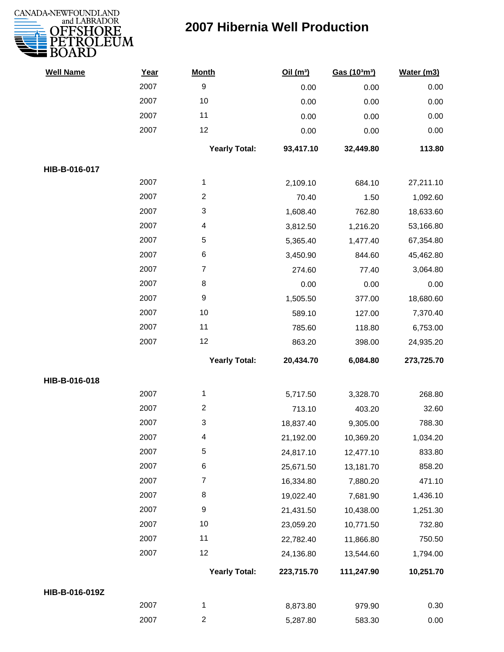

| <b>Well Name</b> | Year | <b>Month</b>         | Oil(m <sup>3</sup> ) | Gas (103m3) | Water (m3) |
|------------------|------|----------------------|----------------------|-------------|------------|
|                  | 2007 | 9                    | 0.00                 | 0.00        | 0.00       |
|                  | 2007 | 10                   | 0.00                 | 0.00        | 0.00       |
|                  | 2007 | 11                   | 0.00                 | 0.00        | 0.00       |
|                  | 2007 | 12                   | 0.00                 | 0.00        | 0.00       |
|                  |      | <b>Yearly Total:</b> | 93,417.10            | 32,449.80   | 113.80     |
| HIB-B-016-017    |      |                      |                      |             |            |
|                  | 2007 | 1                    | 2,109.10             | 684.10      | 27,211.10  |
|                  | 2007 | $\overline{c}$       | 70.40                | 1.50        | 1,092.60   |
|                  | 2007 | 3                    | 1,608.40             | 762.80      | 18,633.60  |
|                  | 2007 | 4                    | 3,812.50             | 1,216.20    | 53,166.80  |
|                  | 2007 | 5                    | 5,365.40             | 1,477.40    | 67,354.80  |
|                  | 2007 | 6                    | 3,450.90             | 844.60      | 45,462.80  |
|                  | 2007 | $\overline{7}$       | 274.60               | 77.40       | 3,064.80   |
|                  | 2007 | 8                    | 0.00                 | 0.00        | 0.00       |
|                  | 2007 | 9                    | 1,505.50             | 377.00      | 18,680.60  |
|                  | 2007 | 10                   | 589.10               | 127.00      | 7,370.40   |
|                  | 2007 | 11                   | 785.60               | 118.80      | 6,753.00   |
|                  | 2007 | 12                   | 863.20               | 398.00      | 24,935.20  |
|                  |      | <b>Yearly Total:</b> | 20,434.70            | 6,084.80    | 273,725.70 |
| HIB-B-016-018    |      |                      |                      |             |            |
|                  | 2007 | 1                    | 5,717.50             | 3,328.70    | 268.80     |
|                  | 2007 | $\overline{c}$       | 713.10               | 403.20      | 32.60      |
|                  | 2007 | 3                    | 18,837.40            | 9,305.00    | 788.30     |
|                  | 2007 | 4                    | 21,192.00            | 10,369.20   | 1,034.20   |
|                  | 2007 | 5                    | 24,817.10            | 12,477.10   | 833.80     |
|                  | 2007 | 6                    | 25,671.50            | 13,181.70   | 858.20     |
|                  | 2007 | 7                    | 16,334.80            | 7,880.20    | 471.10     |
|                  | 2007 | 8                    | 19,022.40            | 7,681.90    | 1,436.10   |
|                  | 2007 | 9                    | 21,431.50            | 10,438.00   | 1,251.30   |
|                  | 2007 | 10                   | 23,059.20            | 10,771.50   | 732.80     |
|                  | 2007 | 11                   | 22,782.40            | 11,866.80   | 750.50     |
|                  | 2007 | 12                   | 24,136.80            | 13,544.60   | 1,794.00   |
|                  |      | <b>Yearly Total:</b> | 223,715.70           | 111,247.90  | 10,251.70  |
| HIB-B-016-019Z   |      |                      |                      |             |            |
|                  | 2007 | $\mathbf{1}$         | 8,873.80             | 979.90      | 0.30       |
|                  | 2007 | $\overline{2}$       | 5,287.80             | 583.30      | 0.00       |
|                  |      |                      |                      |             |            |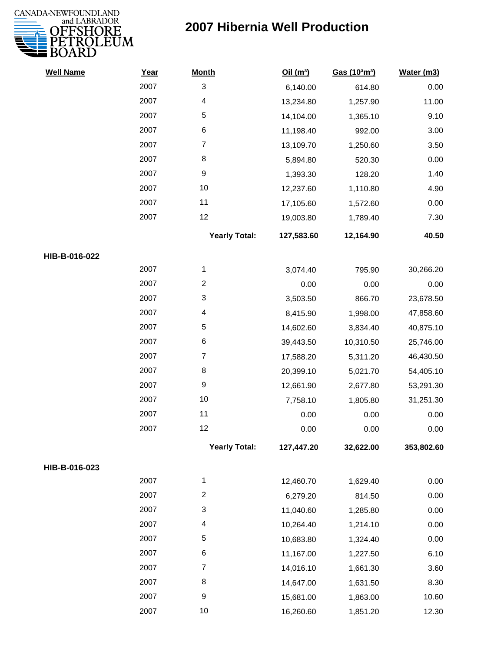

| <b>Well Name</b> | Year | <b>Month</b>         | Oil(m <sup>3</sup> ) | Gas (103m3) | Water (m3) |
|------------------|------|----------------------|----------------------|-------------|------------|
|                  | 2007 | 3                    | 6,140.00             | 614.80      | 0.00       |
|                  | 2007 | 4                    | 13,234.80            | 1,257.90    | 11.00      |
|                  | 2007 | 5                    | 14,104.00            | 1,365.10    | 9.10       |
|                  | 2007 | $\,6$                | 11,198.40            | 992.00      | 3.00       |
|                  | 2007 | $\overline{7}$       | 13,109.70            | 1,250.60    | 3.50       |
|                  | 2007 | 8                    | 5,894.80             | 520.30      | 0.00       |
|                  | 2007 | $\boldsymbol{9}$     | 1,393.30             | 128.20      | 1.40       |
|                  | 2007 | 10                   | 12,237.60            | 1,110.80    | 4.90       |
|                  | 2007 | 11                   | 17,105.60            | 1,572.60    | 0.00       |
|                  | 2007 | 12                   | 19,003.80            | 1,789.40    | 7.30       |
|                  |      | <b>Yearly Total:</b> | 127,583.60           | 12,164.90   | 40.50      |
| HIB-B-016-022    |      |                      |                      |             |            |
|                  | 2007 | 1                    | 3,074.40             | 795.90      | 30,266.20  |
|                  | 2007 | $\overline{c}$       | 0.00                 | 0.00        | 0.00       |
|                  | 2007 | 3                    | 3,503.50             | 866.70      | 23,678.50  |
|                  | 2007 | 4                    | 8,415.90             | 1,998.00    | 47,858.60  |
|                  | 2007 | 5                    | 14,602.60            | 3,834.40    | 40,875.10  |
|                  | 2007 | 6                    | 39,443.50            | 10,310.50   | 25,746.00  |
|                  | 2007 | $\overline{7}$       | 17,588.20            | 5,311.20    | 46,430.50  |
|                  | 2007 | 8                    | 20,399.10            | 5,021.70    | 54,405.10  |
|                  | 2007 | $\boldsymbol{9}$     | 12,661.90            | 2,677.80    | 53,291.30  |
|                  | 2007 | 10                   | 7,758.10             | 1,805.80    | 31,251.30  |
|                  | 2007 | 11                   | 0.00                 | 0.00        | 0.00       |
|                  | 2007 | 12                   | 0.00                 | 0.00        | 0.00       |
|                  |      | <b>Yearly Total:</b> | 127,447.20           | 32,622.00   | 353,802.60 |
| HIB-B-016-023    |      |                      |                      |             |            |
|                  | 2007 | 1                    | 12,460.70            | 1,629.40    | 0.00       |
|                  | 2007 | $\overline{c}$       | 6,279.20             | 814.50      | 0.00       |
|                  | 2007 | 3                    | 11,040.60            | 1,285.80    | 0.00       |
|                  | 2007 | 4                    | 10,264.40            | 1,214.10    | 0.00       |
|                  | 2007 | 5                    | 10,683.80            | 1,324.40    | 0.00       |
|                  | 2007 | 6                    | 11,167.00            | 1,227.50    | 6.10       |
|                  | 2007 | $\overline{7}$       | 14,016.10            | 1,661.30    | 3.60       |
|                  | 2007 | 8                    | 14,647.00            | 1,631.50    | 8.30       |
|                  | 2007 | $\boldsymbol{9}$     | 15,681.00            | 1,863.00    | 10.60      |
|                  | 2007 | 10                   | 16,260.60            | 1,851.20    | 12.30      |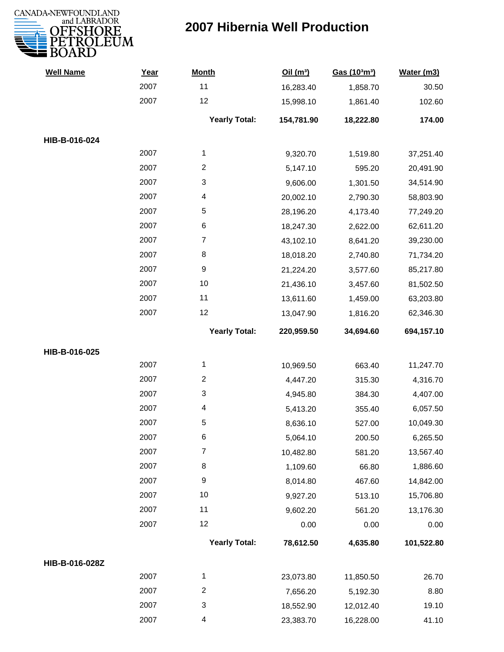

| <b>Well Name</b> | Year | <b>Month</b>            | Oil(m <sup>3</sup> ) | Gas (103m3) | Water (m3) |
|------------------|------|-------------------------|----------------------|-------------|------------|
|                  | 2007 | 11                      | 16,283.40            | 1,858.70    | 30.50      |
|                  | 2007 | 12                      | 15,998.10            | 1,861.40    | 102.60     |
|                  |      | <b>Yearly Total:</b>    | 154,781.90           | 18,222.80   | 174.00     |
| HIB-B-016-024    |      |                         |                      |             |            |
|                  | 2007 | $\mathbf{1}$            | 9,320.70             | 1,519.80    | 37,251.40  |
|                  | 2007 | $\overline{2}$          | 5,147.10             | 595.20      | 20,491.90  |
|                  | 2007 | 3                       | 9,606.00             | 1,301.50    | 34,514.90  |
|                  | 2007 | 4                       | 20,002.10            | 2,790.30    | 58,803.90  |
|                  | 2007 | 5                       | 28,196.20            | 4,173.40    | 77,249.20  |
|                  | 2007 | $\,6$                   | 18,247.30            | 2,622.00    | 62,611.20  |
|                  | 2007 | $\overline{7}$          | 43,102.10            | 8,641.20    | 39,230.00  |
|                  | 2007 | 8                       | 18,018.20            | 2,740.80    | 71,734.20  |
|                  | 2007 | $\boldsymbol{9}$        | 21,224.20            | 3,577.60    | 85,217.80  |
|                  | 2007 | 10                      | 21,436.10            | 3,457.60    | 81,502.50  |
|                  | 2007 | 11                      | 13,611.60            | 1,459.00    | 63,203.80  |
|                  | 2007 | 12                      | 13,047.90            | 1,816.20    | 62,346.30  |
|                  |      | <b>Yearly Total:</b>    | 220,959.50           | 34,694.60   | 694,157.10 |
| HIB-B-016-025    |      |                         |                      |             |            |
|                  | 2007 | 1                       | 10,969.50            | 663.40      | 11,247.70  |
|                  | 2007 | $\overline{c}$          | 4,447.20             | 315.30      | 4,316.70   |
|                  | 2007 | 3                       | 4,945.80             | 384.30      | 4,407.00   |
|                  | 2007 | 4                       | 5,413.20             | 355.40      | 6,057.50   |
|                  | 2007 | 5                       | 8,636.10             | 527.00      | 10,049.30  |
|                  | 2007 | 6                       | 5,064.10             | 200.50      | 6,265.50   |
|                  | 2007 | $\overline{7}$          | 10,482.80            | 581.20      | 13,567.40  |
|                  | 2007 | 8                       | 1,109.60             | 66.80       | 1,886.60   |
|                  | 2007 | 9                       | 8,014.80             | 467.60      | 14,842.00  |
|                  | 2007 | 10                      | 9,927.20             | 513.10      | 15,706.80  |
|                  | 2007 | 11                      | 9,602.20             | 561.20      | 13,176.30  |
|                  | 2007 | 12                      | 0.00                 | 0.00        | 0.00       |
|                  |      | <b>Yearly Total:</b>    | 78,612.50            | 4,635.80    | 101,522.80 |
| HIB-B-016-028Z   |      |                         |                      |             |            |
|                  | 2007 | 1                       | 23,073.80            | 11,850.50   | 26.70      |
|                  | 2007 | $\overline{\mathbf{c}}$ | 7,656.20             | 5,192.30    | 8.80       |
|                  | 2007 | 3                       | 18,552.90            | 12,012.40   | 19.10      |
|                  | 2007 | 4                       | 23,383.70            | 16,228.00   | 41.10      |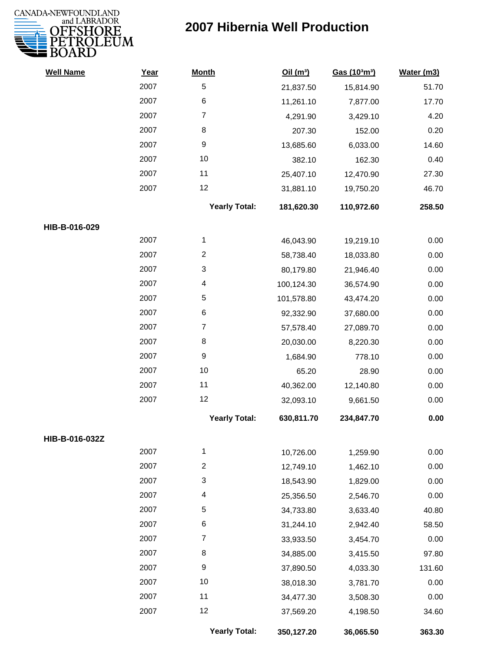

| <b>Well Name</b> | Year | <b>Month</b>         | Oil(m <sup>3</sup> ) | Gas (103m3) | Water (m3) |
|------------------|------|----------------------|----------------------|-------------|------------|
|                  | 2007 | 5                    | 21,837.50            | 15,814.90   | 51.70      |
|                  | 2007 | 6                    | 11,261.10            | 7,877.00    | 17.70      |
|                  | 2007 | $\overline{7}$       | 4,291.90             | 3,429.10    | 4.20       |
|                  | 2007 | 8                    | 207.30               | 152.00      | 0.20       |
|                  | 2007 | 9                    | 13,685.60            | 6,033.00    | 14.60      |
|                  | 2007 | 10                   | 382.10               | 162.30      | 0.40       |
|                  | 2007 | 11                   | 25,407.10            | 12,470.90   | 27.30      |
|                  | 2007 | 12                   | 31,881.10            | 19,750.20   | 46.70      |
|                  |      | <b>Yearly Total:</b> | 181,620.30           | 110,972.60  | 258.50     |
| HIB-B-016-029    |      |                      |                      |             |            |
|                  | 2007 | 1                    | 46,043.90            | 19,219.10   | 0.00       |
|                  | 2007 | $\overline{2}$       | 58,738.40            | 18,033.80   | 0.00       |
|                  | 2007 | 3                    | 80,179.80            | 21,946.40   | 0.00       |
|                  | 2007 | 4                    | 100,124.30           | 36,574.90   | 0.00       |
|                  | 2007 | 5                    | 101,578.80           | 43,474.20   | 0.00       |
|                  | 2007 | 6                    | 92,332.90            | 37,680.00   | 0.00       |
|                  | 2007 | $\overline{7}$       | 57,578.40            | 27,089.70   | 0.00       |
|                  | 2007 | 8                    | 20,030.00            | 8,220.30    | 0.00       |
|                  | 2007 | 9                    | 1,684.90             | 778.10      | 0.00       |
|                  | 2007 | 10                   | 65.20                | 28.90       | 0.00       |
|                  | 2007 | 11                   | 40,362.00            | 12,140.80   | 0.00       |
|                  | 2007 | 12                   | 32,093.10            | 9,661.50    | 0.00       |
|                  |      | <b>Yearly Total:</b> | 630,811.70           | 234,847.70  | 0.00       |
| HIB-B-016-032Z   |      |                      |                      |             |            |
|                  | 2007 | 1                    | 10,726.00            | 1,259.90    | 0.00       |
|                  | 2007 | $\overline{2}$       | 12,749.10            | 1,462.10    | 0.00       |
|                  | 2007 | 3                    | 18,543.90            | 1,829.00    | 0.00       |
|                  | 2007 | 4                    | 25,356.50            | 2,546.70    | 0.00       |
|                  | 2007 | 5                    | 34,733.80            | 3,633.40    | 40.80      |
|                  | 2007 | 6                    | 31,244.10            | 2,942.40    | 58.50      |
|                  | 2007 | $\overline{7}$       | 33,933.50            | 3,454.70    | 0.00       |
|                  | 2007 | 8                    | 34,885.00            | 3,415.50    | 97.80      |
|                  | 2007 | 9                    | 37,890.50            | 4,033.30    | 131.60     |
|                  | 2007 | 10                   | 38,018.30            | 3,781.70    | 0.00       |
|                  | 2007 | 11                   | 34,477.30            | 3,508.30    | 0.00       |
|                  | 2007 | 12                   | 37,569.20            | 4,198.50    | 34.60      |
|                  |      | <b>Yearly Total:</b> | 350,127.20           | 36,065.50   | 363.30     |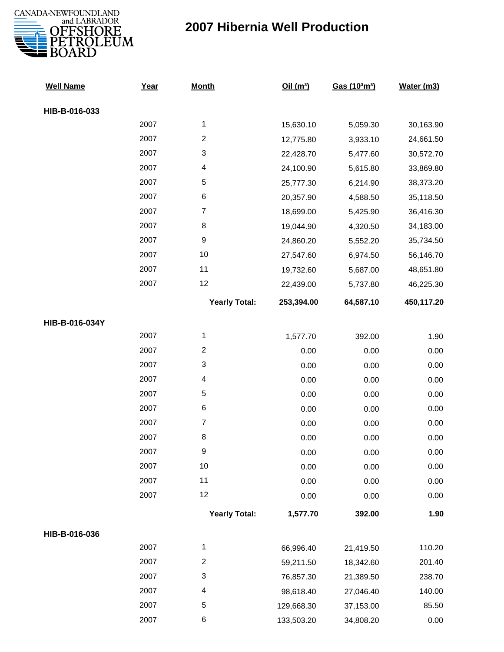

| <b>Well Name</b> | Year | <b>Month</b>              | Oil(m <sup>3</sup> ) | Gas (103m3) | Water (m3) |
|------------------|------|---------------------------|----------------------|-------------|------------|
| HIB-B-016-033    |      |                           |                      |             |            |
|                  | 2007 | 1                         | 15,630.10            | 5,059.30    | 30,163.90  |
|                  | 2007 | $\overline{2}$            | 12,775.80            | 3,933.10    | 24,661.50  |
|                  | 2007 | $\ensuremath{\mathsf{3}}$ | 22,428.70            | 5,477.60    | 30,572.70  |
|                  | 2007 | 4                         | 24,100.90            | 5,615.80    | 33,869.80  |
|                  | 2007 | 5                         | 25,777.30            | 6,214.90    | 38,373.20  |
|                  | 2007 | $\,6$                     | 20,357.90            | 4,588.50    | 35,118.50  |
|                  | 2007 | $\overline{7}$            | 18,699.00            | 5,425.90    | 36,416.30  |
|                  | 2007 | $\,8\,$                   | 19,044.90            | 4,320.50    | 34,183.00  |
|                  | 2007 | $\boldsymbol{9}$          | 24,860.20            | 5,552.20    | 35,734.50  |
|                  | 2007 | 10                        | 27,547.60            | 6,974.50    | 56,146.70  |
|                  | 2007 | 11                        | 19,732.60            | 5,687.00    | 48,651.80  |
|                  | 2007 | 12                        | 22,439.00            | 5,737.80    | 46,225.30  |
|                  |      | <b>Yearly Total:</b>      | 253,394.00           | 64,587.10   | 450,117.20 |
| HIB-B-016-034Y   |      |                           |                      |             |            |
|                  | 2007 | $\mathbf{1}$              | 1,577.70             | 392.00      | 1.90       |
|                  | 2007 | $\sqrt{2}$                | 0.00                 | 0.00        | 0.00       |
|                  | 2007 | $\ensuremath{\mathsf{3}}$ | 0.00                 | 0.00        | 0.00       |
|                  | 2007 | 4                         | 0.00                 | 0.00        | 0.00       |
|                  | 2007 | $\sqrt{5}$                | 0.00                 | 0.00        | 0.00       |
|                  | 2007 | $\,6$                     | 0.00                 | 0.00        | 0.00       |
|                  | 2007 | $\boldsymbol{7}$          | 0.00                 | 0.00        | 0.00       |
|                  | 2007 | $\bf 8$                   | 0.00                 | 0.00        | 0.00       |
|                  | 2007 | 9                         | 0.00                 | 0.00        | 0.00       |
|                  | 2007 | 10                        | 0.00                 | 0.00        | 0.00       |
|                  | 2007 | 11                        | 0.00                 | 0.00        | 0.00       |
|                  | 2007 | 12                        | 0.00                 | 0.00        | 0.00       |
|                  |      | <b>Yearly Total:</b>      | 1,577.70             | 392.00      | 1.90       |
| HIB-B-016-036    |      |                           |                      |             |            |
|                  | 2007 | 1                         | 66,996.40            | 21,419.50   | 110.20     |
|                  | 2007 | $\boldsymbol{2}$          | 59,211.50            | 18,342.60   | 201.40     |
|                  | 2007 | $\ensuremath{\mathsf{3}}$ | 76,857.30            | 21,389.50   | 238.70     |
|                  | 2007 | 4                         | 98,618.40            | 27,046.40   | 140.00     |
|                  | 2007 | 5                         | 129,668.30           | 37,153.00   | 85.50      |
|                  | 2007 | 6                         | 133,503.20           | 34,808.20   | 0.00       |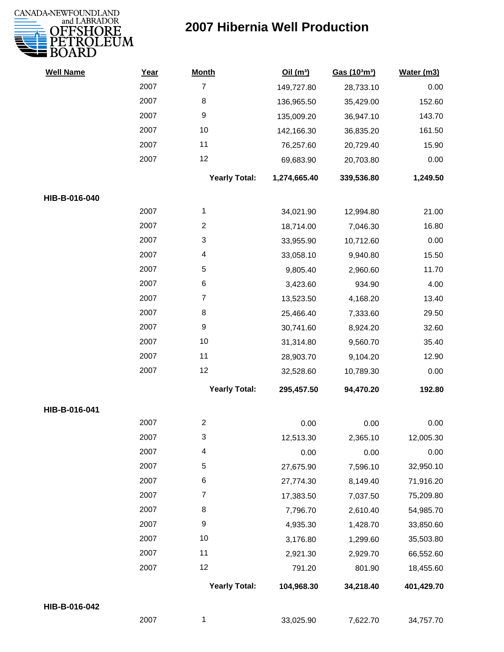

| <b>Well Name</b> | Year | <b>Month</b>         | Oil(m <sup>3</sup> ) | Gas (103m3) | Water (m3) |
|------------------|------|----------------------|----------------------|-------------|------------|
|                  | 2007 | $\overline{7}$       | 149,727.80           | 28,733.10   | 0.00       |
|                  | 2007 | 8                    | 136,965.50           | 35,429.00   | 152.60     |
|                  | 2007 | 9                    | 135,009.20           | 36,947.10   | 143.70     |
|                  | 2007 | 10                   | 142,166.30           | 36,835.20   | 161.50     |
|                  | 2007 | 11                   | 76,257.60            | 20,729.40   | 15.90      |
|                  | 2007 | 12                   | 69,683.90            | 20,703.80   | 0.00       |
|                  |      | <b>Yearly Total:</b> | 1,274,665.40         | 339,536.80  | 1,249.50   |
| HIB-B-016-040    |      |                      |                      |             |            |
|                  | 2007 | 1                    | 34,021.90            | 12,994.80   | 21.00      |
|                  | 2007 | $\overline{c}$       | 18,714.00            | 7,046.30    | 16.80      |
|                  | 2007 | 3                    | 33,955.90            | 10,712.60   | 0.00       |
|                  | 2007 | 4                    | 33,058.10            | 9,940.80    | 15.50      |
|                  | 2007 | 5                    | 9,805.40             | 2,960.60    | 11.70      |
|                  | 2007 | 6                    | 3,423.60             | 934.90      | 4.00       |
|                  | 2007 | $\overline{7}$       | 13,523.50            | 4,168.20    | 13.40      |
|                  | 2007 | 8                    | 25,466.40            | 7,333.60    | 29.50      |
|                  | 2007 | 9                    | 30,741.60            | 8,924.20    | 32.60      |
|                  | 2007 | $10\,$               | 31,314.80            | 9,560.70    | 35.40      |
|                  | 2007 | 11                   | 28,903.70            | 9,104.20    | 12.90      |
|                  | 2007 | 12                   | 32,528.60            | 10,789.30   | 0.00       |
|                  |      | <b>Yearly Total:</b> | 295,457.50           | 94,470.20   | 192.80     |
| HIB-B-016-041    |      |                      |                      |             |            |
|                  | 2007 | $\overline{c}$       | 0.00                 | 0.00        | 0.00       |
|                  | 2007 | 3                    | 12,513.30            | 2,365.10    | 12,005.30  |
|                  | 2007 | 4                    | 0.00                 | 0.00        | 0.00       |
|                  | 2007 | 5                    | 27,675.90            | 7,596.10    | 32,950.10  |
|                  | 2007 | 6                    | 27,774.30            | 8,149.40    | 71,916.20  |
|                  | 2007 | $\boldsymbol{7}$     | 17,383.50            | 7,037.50    | 75,209.80  |
|                  | 2007 | 8                    | 7,796.70             | 2,610.40    | 54,985.70  |
|                  | 2007 | 9                    | 4,935.30             | 1,428.70    | 33,850.60  |
|                  | 2007 | 10                   | 3,176.80             | 1,299.60    | 35,503.80  |
|                  | 2007 | 11                   | 2,921.30             | 2,929.70    | 66,552.60  |
|                  | 2007 | 12                   | 791.20               | 801.90      | 18,455.60  |
|                  |      | <b>Yearly Total:</b> | 104,968.30           | 34,218.40   | 401,429.70 |
| HIB-B-016-042    |      |                      |                      |             |            |
|                  | 2007 | $\mathbf{1}$         | 33,025.90            | 7,622.70    | 34,757.70  |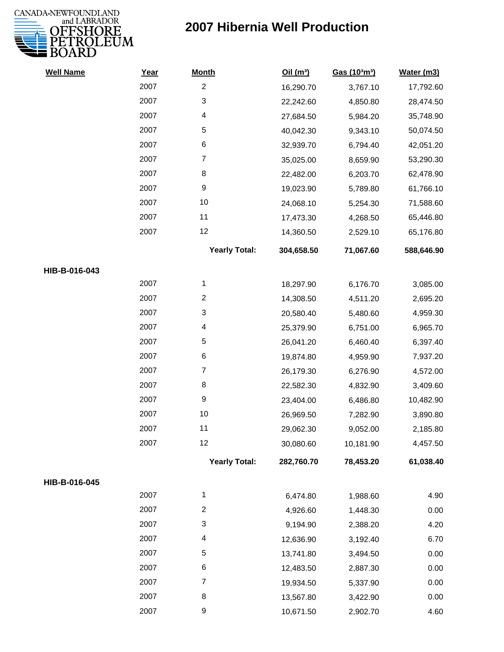

| <b>Well Name</b> | Year | <b>Month</b>         | Oil(m <sup>3</sup> ) | Gas (103m3) | Water (m3) |
|------------------|------|----------------------|----------------------|-------------|------------|
|                  | 2007 | $\overline{2}$       | 16,290.70            | 3,767.10    | 17,792.60  |
|                  | 2007 | 3                    | 22,242.60            | 4,850.80    | 28,474.50  |
|                  | 2007 | 4                    | 27,684.50            | 5,984.20    | 35,748.90  |
|                  | 2007 | 5                    | 40,042.30            | 9,343.10    | 50,074.50  |
|                  | 2007 | 6                    | 32,939.70            | 6,794.40    | 42,051.20  |
|                  | 2007 | $\overline{7}$       | 35,025.00            | 8,659.90    | 53,290.30  |
|                  | 2007 | 8                    | 22,482.00            | 6,203.70    | 62,478.90  |
|                  | 2007 | $\boldsymbol{9}$     | 19,023.90            | 5,789.80    | 61,766.10  |
|                  | 2007 | 10                   | 24,068.10            | 5,254.30    | 71,588.60  |
|                  | 2007 | 11                   | 17,473.30            | 4,268.50    | 65,446.80  |
|                  | 2007 | 12                   | 14,360.50            | 2,529.10    | 65,176.80  |
|                  |      | <b>Yearly Total:</b> | 304,658.50           | 71,067.60   | 588,646.90 |
| HIB-B-016-043    |      |                      |                      |             |            |
|                  | 2007 | 1                    | 18,297.90            | 6,176.70    | 3,085.00   |
|                  | 2007 | $\overline{2}$       | 14,308.50            | 4,511.20    | 2,695.20   |
|                  | 2007 | 3                    | 20,580.40            | 5,480.60    | 4,959.30   |
|                  | 2007 | 4                    | 25,379.90            | 6,751.00    | 6,965.70   |
|                  | 2007 | 5                    | 26,041.20            | 6,460.40    | 6,397.40   |
|                  | 2007 | 6                    | 19,874.80            | 4,959.90    | 7,937.20   |
|                  | 2007 | $\overline{7}$       | 26,179.30            | 6,276.90    | 4,572.00   |
|                  | 2007 | 8                    | 22,582.30            | 4,832.90    | 3,409.60   |
|                  | 2007 | $\boldsymbol{9}$     | 23,404.00            | 6,486.80    | 10,482.90  |
|                  | 2007 | $10$                 | 26,969.50            | 7,282.90    | 3,890.80   |
|                  | 2007 | 11                   | 29,062.30            | 9,052.00    | 2,185.80   |
|                  | 2007 | 12                   | 30,080.60            | 10,181.90   | 4,457.50   |
|                  |      | <b>Yearly Total:</b> | 282,760.70           | 78,453.20   | 61,038.40  |
| HIB-B-016-045    |      |                      |                      |             |            |
|                  | 2007 | $\mathbf{1}$         | 6,474.80             | 1,988.60    | 4.90       |
|                  | 2007 | $\overline{2}$       | 4,926.60             | 1,448.30    | 0.00       |
|                  | 2007 | 3                    | 9,194.90             | 2,388.20    | 4.20       |
|                  | 2007 | 4                    | 12,636.90            | 3,192.40    | 6.70       |
|                  | 2007 | 5                    | 13,741.80            | 3,494.50    | 0.00       |
|                  | 2007 | 6                    | 12,483.50            | 2,887.30    | 0.00       |
|                  | 2007 | 7                    | 19,934.50            | 5,337.90    | 0.00       |
|                  | 2007 | 8                    | 13,567.80            | 3,422.90    | 0.00       |
|                  | 2007 | $\boldsymbol{9}$     | 10,671.50            | 2,902.70    | 4.60       |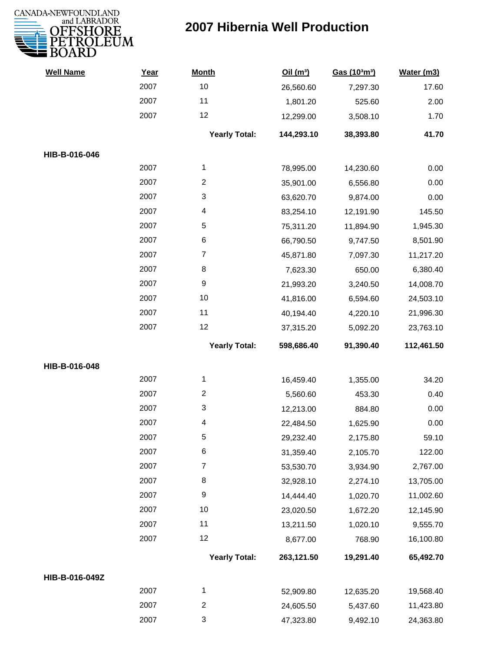

| <b>Well Name</b> | Year | <b>Month</b>         | Oil(m <sup>3</sup> ) | Gas (103m3) | Water (m3) |
|------------------|------|----------------------|----------------------|-------------|------------|
|                  | 2007 | 10                   | 26,560.60            | 7,297.30    | 17.60      |
|                  | 2007 | 11                   | 1,801.20             | 525.60      | 2.00       |
|                  | 2007 | 12                   | 12,299.00            | 3,508.10    | 1.70       |
|                  |      | <b>Yearly Total:</b> | 144,293.10           | 38,393.80   | 41.70      |
| HIB-B-016-046    |      |                      |                      |             |            |
|                  | 2007 | 1                    | 78,995.00            | 14,230.60   | 0.00       |
|                  | 2007 | $\overline{2}$       | 35,901.00            | 6,556.80    | 0.00       |
|                  | 2007 | 3                    | 63,620.70            | 9,874.00    | 0.00       |
|                  | 2007 | 4                    | 83,254.10            | 12,191.90   | 145.50     |
|                  | 2007 | 5                    | 75,311.20            | 11,894.90   | 1,945.30   |
|                  | 2007 | 6                    | 66,790.50            | 9,747.50    | 8,501.90   |
|                  | 2007 | $\overline{7}$       | 45,871.80            | 7,097.30    | 11,217.20  |
|                  | 2007 | 8                    | 7,623.30             | 650.00      | 6,380.40   |
|                  | 2007 | 9                    | 21,993.20            | 3,240.50    | 14,008.70  |
|                  | 2007 | 10                   | 41,816.00            | 6,594.60    | 24,503.10  |
|                  | 2007 | 11                   | 40,194.40            | 4,220.10    | 21,996.30  |
|                  | 2007 | 12                   | 37,315.20            | 5,092.20    | 23,763.10  |
|                  |      | <b>Yearly Total:</b> | 598,686.40           | 91,390.40   | 112,461.50 |
| HIB-B-016-048    |      |                      |                      |             |            |
|                  | 2007 | 1                    | 16,459.40            | 1,355.00    | 34.20      |
|                  | 2007 | $\overline{2}$       | 5,560.60             | 453.30      | 0.40       |
|                  | 2007 | 3                    | 12,213.00            | 884.80      | 0.00       |
|                  | 2007 | 4                    | 22,484.50            | 1,625.90    | 0.00       |
|                  | 2007 | 5                    | 29,232.40            | 2,175.80    | 59.10      |
|                  | 2007 | 6                    | 31,359.40            | 2,105.70    | 122.00     |
|                  | 2007 | $\overline{7}$       | 53,530.70            | 3,934.90    | 2,767.00   |
|                  | 2007 | 8                    | 32,928.10            | 2,274.10    | 13,705.00  |
|                  | 2007 | 9                    | 14,444.40            | 1,020.70    | 11,002.60  |
|                  | 2007 | 10                   | 23,020.50            | 1,672.20    | 12,145.90  |
|                  | 2007 | 11                   | 13,211.50            | 1,020.10    | 9,555.70   |
|                  | 2007 | 12                   | 8,677.00             | 768.90      | 16,100.80  |
|                  |      | <b>Yearly Total:</b> | 263,121.50           | 19,291.40   | 65,492.70  |
| HIB-B-016-049Z   |      |                      |                      |             |            |
|                  | 2007 | 1                    | 52,909.80            | 12,635.20   | 19,568.40  |
|                  | 2007 | $\overline{c}$       | 24,605.50            | 5,437.60    | 11,423.80  |
|                  | 2007 | 3                    | 47,323.80            | 9,492.10    | 24,363.80  |